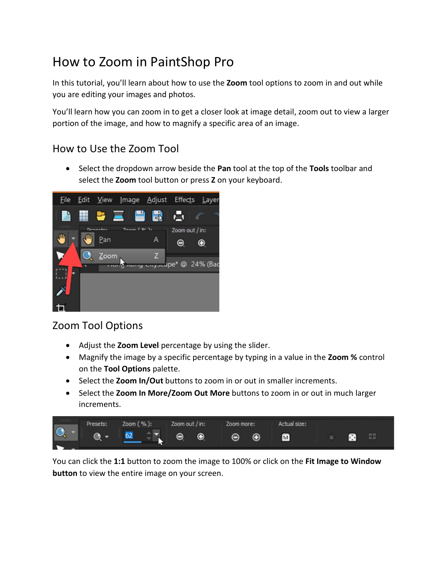# How to Zoom in PaintShop Pro

In this tutorial, you'll learn about how to use the **Zoom** tool options to zoom in and out while you are editing your images and photos.

You'll learn how you can zoom in to get a closer look at image detail, zoom out to view a larger portion of the image, and how to magnify a specific area of an image.

#### How to Use the Zoom Tool

• Select the dropdown arrow beside the **Pan** tool at the top of the **Tools** toolbar and select the **Zoom** tool button or press **Z** on your keyboard.



## Zoom Tool Options

- Adjust the **Zoom Level** percentage by using the slider.
- Magnify the image by a specific percentage by typing in a value in the **Zoom %** control on the **Tool Options** palette.
- Select the **Zoom In/Out** buttons to zoom in or out in smaller increments.
- Select the **Zoom In More/Zoom Out More** buttons to zoom in or out in much larger increments.



You can click the **1:1** button to zoom the image to 100% or click on the **Fit Image to Window button** to view the entire image on your screen.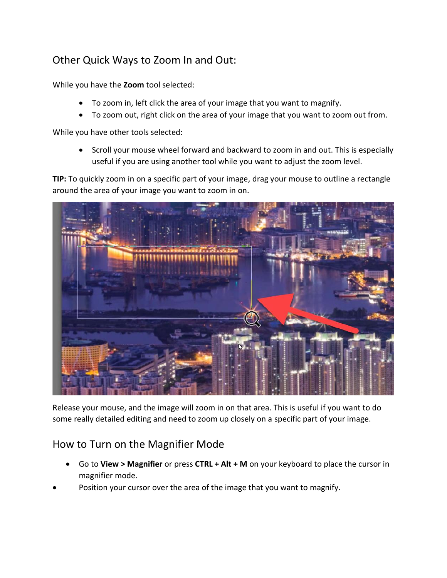## Other Quick Ways to Zoom In and Out:

While you have the **Zoom** tool selected:

- To zoom in, left click the area of your image that you want to magnify.
- To zoom out, right click on the area of your image that you want to zoom out from.

While you have other tools selected:

• Scroll your mouse wheel forward and backward to zoom in and out. This is especially useful if you are using another tool while you want to adjust the zoom level.

**TIP:** To quickly zoom in on a specific part of your image, drag your mouse to outline a rectangle around the area of your image you want to zoom in on.



Release your mouse, and the image will zoom in on that area. This is useful if you want to do some really detailed editing and need to zoom up closely on a specific part of your image.

#### How to Turn on the Magnifier Mode

- Go to **View > Magnifier** or press **CTRL + Alt + M** on your keyboard to place the cursor in magnifier mode.
- Position your cursor over the area of the image that you want to magnify.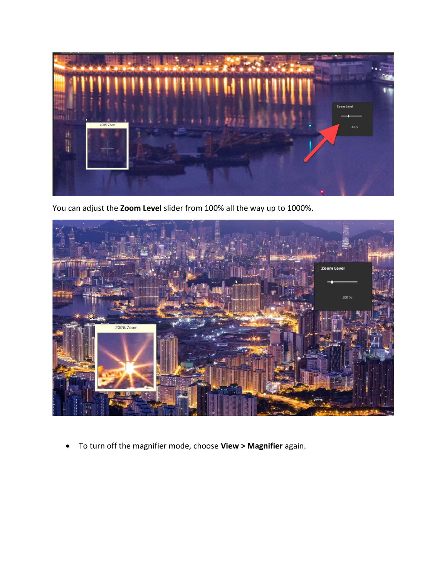

You can adjust the **Zoom Level** slider from 100% all the way up to 1000%.



• To turn off the magnifier mode, choose **View > Magnifier** again.